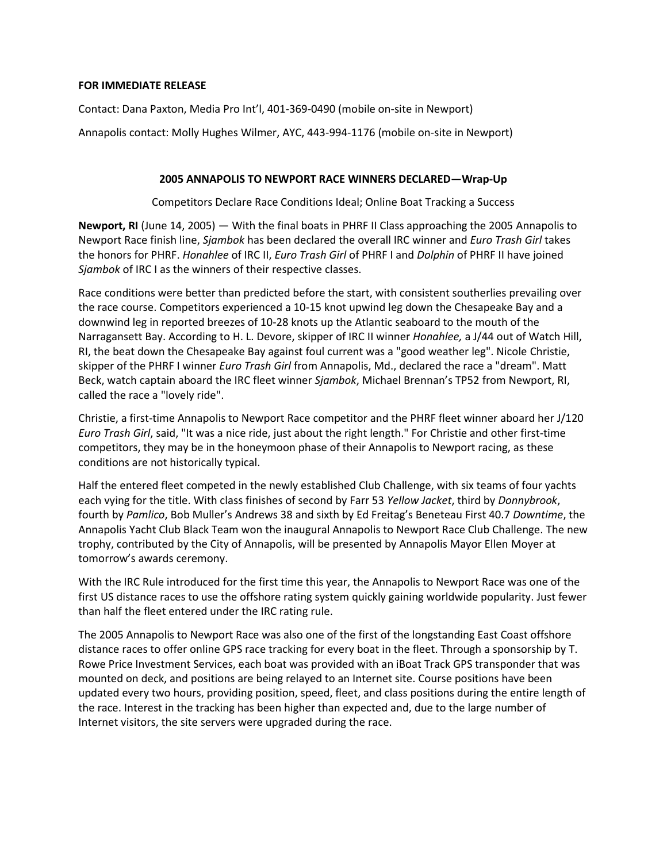## **FOR IMMEDIATE RELEASE**

Contact: Dana Paxton, Media Pro Int'l, 401-369-0490 (mobile on-site in Newport)

Annapolis contact: Molly Hughes Wilmer, AYC, 443-994-1176 (mobile on-site in Newport)

## **2005 ANNAPOLIS TO NEWPORT RACE WINNERS DECLARED—Wrap-Up**

Competitors Declare Race Conditions Ideal; Online Boat Tracking a Success

**Newport, RI** (June 14, 2005) — With the final boats in PHRF II Class approaching the 2005 Annapolis to Newport Race finish line, *Sjambok* has been declared the overall IRC winner and *Euro Trash Girl* takes the honors for PHRF. *Honahlee* of IRC II, *Euro Trash Girl* of PHRF I and *Dolphin* of PHRF II have joined *Sjambok* of IRC I as the winners of their respective classes.

Race conditions were better than predicted before the start, with consistent southerlies prevailing over the race course. Competitors experienced a 10-15 knot upwind leg down the Chesapeake Bay and a downwind leg in reported breezes of 10-28 knots up the Atlantic seaboard to the mouth of the Narragansett Bay. According to H. L. Devore, skipper of IRC II winner *Honahlee,* a J/44 out of Watch Hill, RI, the beat down the Chesapeake Bay against foul current was a "good weather leg". Nicole Christie, skipper of the PHRF I winner *Euro Trash Girl* from Annapolis, Md., declared the race a "dream". Matt Beck, watch captain aboard the IRC fleet winner *Sjambok*, Michael Brennan's TP52 from Newport, RI, called the race a "lovely ride".

Christie, a first-time Annapolis to Newport Race competitor and the PHRF fleet winner aboard her J/120 *Euro Trash Girl*, said, "It was a nice ride, just about the right length." For Christie and other first-time competitors, they may be in the honeymoon phase of their Annapolis to Newport racing, as these conditions are not historically typical.

Half the entered fleet competed in the newly established Club Challenge, with six teams of four yachts each vying for the title. With class finishes of second by Farr 53 *Yellow Jacket*, third by *Donnybrook*, fourth by *Pamlico*, Bob Muller's Andrews 38 and sixth by Ed Freitag's Beneteau First 40.7 *Downtime*, the Annapolis Yacht Club Black Team won the inaugural Annapolis to Newport Race Club Challenge. The new trophy, contributed by the City of Annapolis, will be presented by Annapolis Mayor Ellen Moyer at tomorrow's awards ceremony.

With the IRC Rule introduced for the first time this year, the Annapolis to Newport Race was one of the first US distance races to use the offshore rating system quickly gaining worldwide popularity. Just fewer than half the fleet entered under the IRC rating rule.

The 2005 Annapolis to Newport Race was also one of the first of the longstanding East Coast offshore distance races to offer online GPS race tracking for every boat in the fleet. Through a sponsorship by T. Rowe Price Investment Services, each boat was provided with an iBoat Track GPS transponder that was mounted on deck, and positions are being relayed to an Internet site. Course positions have been updated every two hours, providing position, speed, fleet, and class positions during the entire length of the race. Interest in the tracking has been higher than expected and, due to the large number of Internet visitors, the site servers were upgraded during the race.